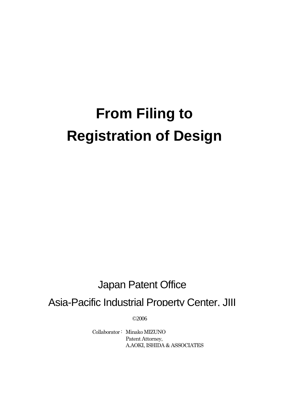# **From Filing to Registration of Design**

# Japan Patent Office

Asia-Pacific Industrial Property Center, JIII

©2006

Collaborator : Minako MIZUNO Patent Attorney, A.AOKI, ISHIDA & ASSOCIATES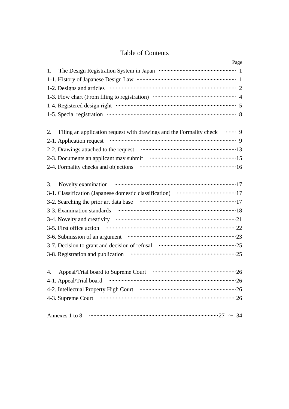# **Table of Contents**

| Page                                                                                                                                                                                                                           |  |
|--------------------------------------------------------------------------------------------------------------------------------------------------------------------------------------------------------------------------------|--|
| 1.                                                                                                                                                                                                                             |  |
|                                                                                                                                                                                                                                |  |
| 1-2. Designs and articles with the contract of the contract of the contract of the contract of the contract of the contract of the contract of the contract of the contract of the contract of the contract of the contract of |  |
|                                                                                                                                                                                                                                |  |
|                                                                                                                                                                                                                                |  |
| 1-5. Special registration manufactured contains a series of 8                                                                                                                                                                  |  |
| Filing an application request with drawings and the Formality check <b></b> 9<br>2.                                                                                                                                            |  |
| 2-1. Application request manufactured contains a series of 9                                                                                                                                                                   |  |
|                                                                                                                                                                                                                                |  |
| 2-3. Documents an applicant may submit manufactured and 15                                                                                                                                                                     |  |
|                                                                                                                                                                                                                                |  |
| 3.                                                                                                                                                                                                                             |  |
|                                                                                                                                                                                                                                |  |
| 3-2. Searching the prior art data base www.communically.com/                                                                                                                                                                   |  |
|                                                                                                                                                                                                                                |  |
|                                                                                                                                                                                                                                |  |
|                                                                                                                                                                                                                                |  |
| 3-6. Submission of an argument manufactured and an argument of the state of the state of the state of the state of the state of the state of the state of the state of the state of the state of the state of the state of the |  |
| 3-7. Decision to grant and decision of refusal manufactured and 25                                                                                                                                                             |  |
| 3-8. Registration and publication manufactured and publication manufactured and publication                                                                                                                                    |  |
| 4.                                                                                                                                                                                                                             |  |
|                                                                                                                                                                                                                                |  |
|                                                                                                                                                                                                                                |  |
|                                                                                                                                                                                                                                |  |
|                                                                                                                                                                                                                                |  |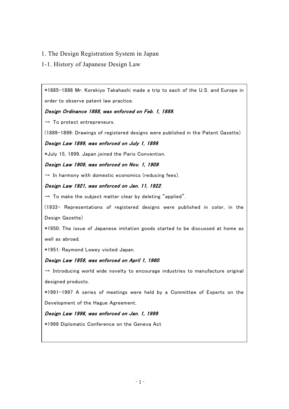#### 1. The Design Registration System in Japan

#### 1-1. History of Japanese Design Law

\*1885-1886 Mr. Korekiyo Takahashi made a trip to each of the U.S. and Europe in order to observe patent law practice.

Design Ordinance 1888, was enforced on Feb. 1, 1889.

 $\rightarrow$  To protect entrepreneurs.

(1889-1899: Drawings of registered designs were published in the Patent Gazette)

#### Design Law 1899, was enforced on July 1, 1899.

\*July 15, 1899, Japan joined the Paris Convention.

#### Design Law 1909, was enforced on Nov. 1, 1909.

 $\rightarrow$  In harmony with domestic economics (reducing fees).

#### Design Law 1921, was enforced on Jan. 11, 1922.

 $\rightarrow$  To make the subject matter clear by deleting "applied".

(1933- Representations of registered designs were published in color, in the Design Gazette)

\*1950: The issue of Japanese imitation goods started to be discussed at home as well as abroad.

\*1951: Raymond Lowey visited Japan.

#### Design Law 1959, was enforced on April 1, 1960.

 $\rightarrow$  Introducing world wide novelty to encourage industries to manufacture original designed products.

\*1991-1997 A series of meetings were held by a Committee of Experts on the Development of the Hague Agreement.

#### Design Law 1998, was enforced on Jan. 1, 1999.

\*1999 Diplomatic Conference on the Geneva Act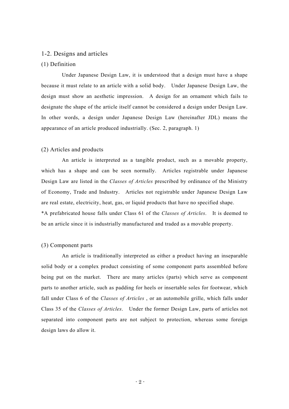#### 1-2. Designs and articles

#### (1) Definition

Under Japanese Design Law, it is understood that a design must have a shape because it must relate to an article with a solid body. Under Japanese Design Law, the design must show an aesthetic impression. A design for an ornament which fails to designate the shape of the article itself cannot be considered a design under Design Law. In other words, a design under Japanese Design Law (hereinafter JDL) means the appearance of an article produced industrially. (Sec. 2, paragraph. 1)

#### (2) Articles and products

An article is interpreted as a tangible product, such as a movable property, which has a shape and can be seen normally. Articles registrable under Japanese Design Law are listed in the *Classes of Articles* prescribed by ordinance of the Ministry of Economy, Trade and Industry. Articles not registrable under Japanese Design Law are real estate, electricity, heat, gas, or liquid products that have no specified shape. \*A prefabricated house falls under Class 61 of the *Classes of Articles*. It is deemed to be an article since it is industrially manufactured and traded as a movable property.

#### (3) Component parts

An article is traditionally interpreted as either a product having an inseparable solid body or a complex product consisting of some component parts assembled before being put on the market. There are many articles (parts) which serve as component parts to another article, such as padding for heels or insertable soles for footwear, which fall under Class 6 of the *Classes of Articles* , or an automobile grille, which falls under Class 35 of the *Classes of Articles*. Under the former Design Law, parts of articles not separated into component parts are not subject to protection, whereas some foreign design laws do allow it.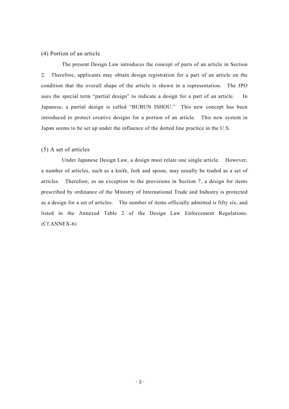#### (4) Portion of an article

The present Design Law introduces the concept of parts of an article in Section 2. Therefore, applicants may obtain design registration for a part of an article on the condition that the overall shape of the article is shown in a representation. The JPO uses the special term "partial design" to indicate a design for a part of an article. In Japanese, a partial design is called "BUBUN ISHOU." This new concept has been introduced to protect creative designs for a portion of an article. This new system in Japan seems to be set up under the influence of the dotted line practice in the U.S.

#### (5) A set of articles

Under Japanese Design Law, a design must relate one single article. However, a number of articles, such as a knife, fork and spoon, may usually be traded as a set of articles. Therefore, as an exception to the provisions in Section 7, a design for items prescribed by ordinance of the Ministry of International Trade and Industry is protected as a design for a set of articles. The number of items officially admitted is fifty six, and listed in the Annexed Table 2 of the Design Law Enforcement Regulations. (Cf.ANNEX-6)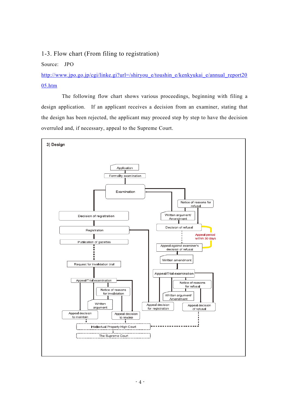1-3. Flow chart (From filing to registration)

Source: JPO

[http://www.jpo.go.jp/cgi/linke.gi?url=/shiryou\\_e/toushin\\_e/kenkyukai\\_e/annual\\_report20](http://www.jpo.go.jp/shiryou_e/toushin_e/kenkyukai_e/annual_report2005.htm) [05.htm](http://www.jpo.go.jp/shiryou_e/toushin_e/kenkyukai_e/annual_report2005.htm)

The following flow chart shows various proceedings, beginning with filing a design application. If an applicant receives a decision from an examiner, stating that the design has been rejected, the applicant may proceed step by step to have the decision overruled and, if necessary, appeal to the Supreme Court.

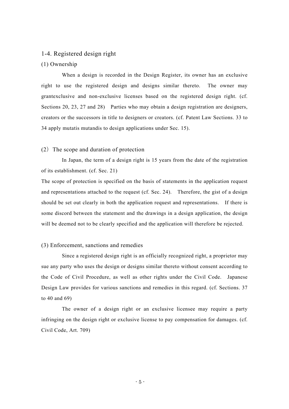#### 1-4. Registered design right

#### (1) Ownership

When a design is recorded in the Design Register, its owner has an exclusive right to use the registered design and designs similar thereto. The owner may grantexclusive and non-exclusive licenses based on the registered design right. (cf. Sections 20, 23, 27 and 28) Parties who may obtain a design registration are designers, creators or the successors in title to designers or creators. (cf. Patent Law Sections. 33 to 34 apply mutatis mutandis to design applications under Sec. 15).

#### $(2)$  The scope and duration of protection

In Japan, the term of a design right is 15 years from the date of the registration of its establishment. (cf. Sec. 21)

The scope of protection is specified on the basis of statements in the application request and representations attached to the request (cf. Sec. 24). Therefore, the gist of a design should be set out clearly in both the application request and representations. If there is some discord between the statement and the drawings in a design application, the design will be deemed not to be clearly specified and the application will therefore be rejected.

#### (3) Enforcement, sanctions and remedies

Since a registered design right is an officially recognized right, a proprietor may sue any party who uses the design or designs similar thereto without consent according to the Code of Civil Procedure, as well as other rights under the Civil Code. Japanese Design Law provides for various sanctions and remedies in this regard. (cf. Sections. 37 to 40 and 69)

The owner of a design right or an exclusive licensee may require a party infringing on the design right or exclusive license to pay compensation for damages. (cf. Civil Code, Art. 709)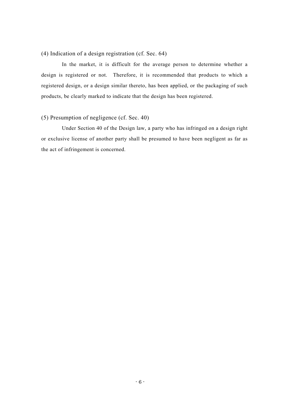#### (4) Indication of a design registration (cf. Sec. 64)

In the market, it is difficult for the average person to determine whether a design is registered or not. Therefore, it is recommended that products to which a registered design, or a design similar thereto, has been applied, or the packaging of such products, be clearly marked to indicate that the design has been registered.

#### (5) Presumption of negligence (cf. Sec. 40)

Under Section 40 of the Design law, a party who has infringed on a design right or exclusive license of another party shall be presumed to have been negligent as far as the act of infringement is concerned.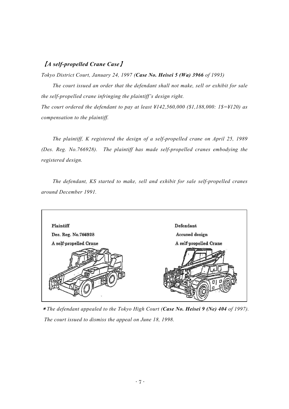#### 【*A self-propelled Crane Case*】

*compensation to the plaintiff.* 

*Tokyo District Court, January 24, 1997 (Case No. Heisei 5 (Wa) 3966 of 1993)* 

*The court issued an order that the defendant shall not make, sell or exhibit for sale the self-propelled crane infringing the plaintiff's design right. The court ordered the defendant to pay at least ¥142,560,000 (\$1,188,000: 1\$=¥120) as* 

*The plaintiff, K registered the design of a self-propelled crane on April 25, 1989 (Des. Reg. No.766928). The plaintiff has made self-propelled cranes embodying the registered design.* 

*The defendant, KS started to make, sell and exhibit for sale self-propelled cranes around December 1991.* 



\**The defendant appealed to the Tokyo High Court (Case No. Heisei 9 (Ne) 404 of 1997). The court issued to dismiss the appeal on June 18, 1998.*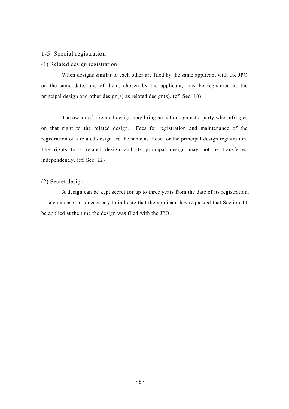#### 1-5. Special registration

#### (1) Related design registration

When designs similar to each other are filed by the same applicant with the JPO on the same date, one of them, chosen by the applicant, may be registered as the principal design and other design(s) as related design(s). (cf. Sec. 10)

The owner of a related design may bring an action against a party who infringes on that right to the related design. Fees for registration and maintenance of the registration of a related design are the same as those for the principal design registration. The rights to a related design and its principal design may not be transferred independently. (cf. Sec. 22)

#### (2) Secret design

A design can be kept secret for up to three years from the date of its registration. In such a case, it is necessary to indicate that the applicant has requested that Section 14 be applied at the time the design was filed with the JPO.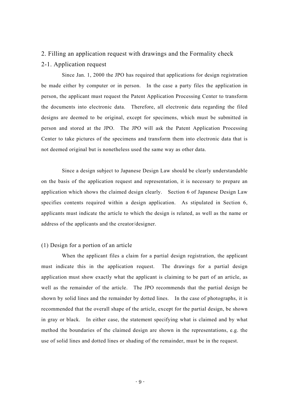#### 2. Filling an application request with drawings and the Formality check

#### 2-1. Application request

Since Jan. 1, 2000 the JPO has required that applications for design registration be made either by computer or in person. In the case a party files the application in person, the applicant must request the Patent Application Processing Center to transform the documents into electronic data. Therefore, all electronic data regarding the filed designs are deemed to be original, except for specimens, which must be submitted in person and stored at the JPO. The JPO will ask the Patent Application Processing Center to take pictures of the specimens and transform them into electronic data that is not deemed original but is nonetheless used the same way as other data.

Since a design subject to Japanese Design Law should be clearly understandable on the basis of the application request and representation, it is necessary to prepare an application which shows the claimed design clearly. Section 6 of Japanese Design Law specifies contents required within a design application. As stipulated in Section 6, applicants must indicate the article to which the design is related, as well as the name or address of the applicants and the creator/designer.

#### (1) Design for a portion of an article

When the applicant files a claim for a partial design registration, the applicant must indicate this in the application request. The drawings for a partial design application must show exactly what the applicant is claiming to be part of an article, as well as the remainder of the article. The JPO recommends that the partial design be shown by solid lines and the remainder by dotted lines. In the case of photographs, it is recommended that the overall shape of the article, except for the partial design, be shown in gray or black. In either case, the statement specifying what is claimed and by what method the boundaries of the claimed design are shown in the representations, e.g. the use of solid lines and dotted lines or shading of the remainder, must be in the request.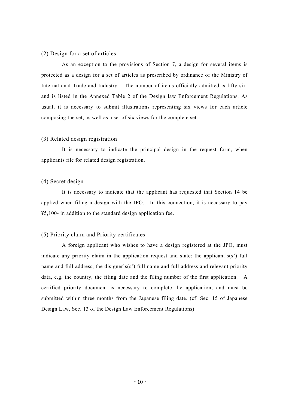#### (2) Design for a set of articles

As an exception to the provisions of Section 7, a design for several items is protected as a design for a set of articles as prescribed by ordinance of the Ministry of International Trade and Industry. The number of items officially admitted is fifty six, and is listed in the Annexed Table 2 of the Design law Enforcement Regulations. As usual, it is necessary to submit illustrations representing six views for each article composing the set, as well as a set of six views for the complete set.

#### (3) Related design registration

It is necessary to indicate the principal design in the request form, when applicants file for related design registration.

#### (4) Secret design

It is necessary to indicate that the applicant has requested that Section 14 be applied when filing a design with the JPO. In this connection, it is necessary to pay ¥5,100- in addition to the standard design application fee.

#### (5) Priority claim and Priority certificates

A foreign applicant who wishes to have a design registered at the JPO, must indicate any priority claim in the application request and state: the applicant's(s') full name and full address, the disigner's(s') full name and full address and relevant priority data, e.g. the country, the filing date and the filing number of the first application. A certified priority document is necessary to complete the application, and must be submitted within three months from the Japanese filing date. (cf. Sec. 15 of Japanese Design Law, Sec. 13 of the Design Law Enforcement Regulations)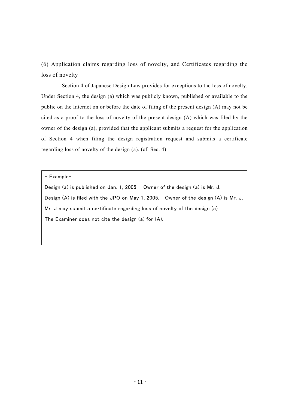(6) Application claims regarding loss of novelty, and Certificates regarding the loss of novelty

Section 4 of Japanese Design Law provides for exceptions to the loss of novelty. Under Section 4, the design (a) which was publicly known, published or available to the public on the Internet on or before the date of filing of the present design (A) may not be cited as a proof to the loss of novelty of the present design (A) which was filed by the owner of the design (a), provided that the applicant submits a request for the application of Section 4 when filing the design registration request and submits a certificate regarding loss of novelty of the design (a). (cf. Sec. 4)

- Example-

Design (a) is published on Jan. 1, 2005. Owner of the design (a) is Mr. J. Design (A) is filed with the JPO on May 1, 2005. Owner of the design (A) is Mr. J. Mr. J may submit a certificate regarding loss of novelty of the design (a). The Examiner does not cite the design (a) for (A).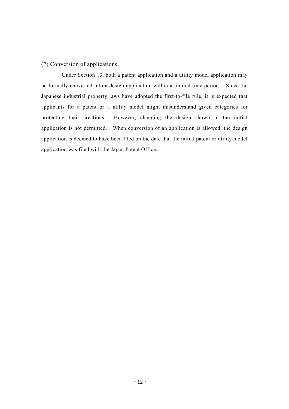#### (7) Conversion of applications

Under Section 13, both a patent application and a utility model application may be formally converted into a design application within a limited time period. Since the Japanese industrial property laws have adopted the first-to-file rule, it is expected that applicants for a patent or a utility model might misunderstand given categories for protecting their creations. However, changing the design shown in the initial application is not permitted. When conversion of an application is allowed, the design application is deemed to have been filed on the date that the initial patent or utility model application was filed with the Japan Patent Office.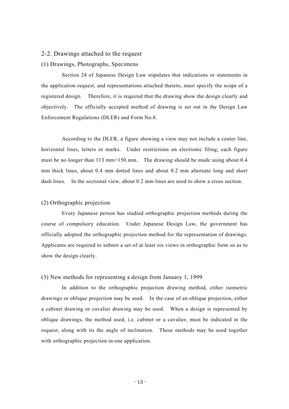#### 2-2. Drawings attached to the request

#### (1) Drawings, Photographs, Specimens

Section 24 of Japanese Design Law stipulates that indications or statements in the application request, and representations attached thereto, must specify the scope of a registered design. Therefore, it is required that the drawing show the design clearly and objectively. The officially accepted method of drawing is set out in the Design Law Enforcement Regulations (DLER) and Form No.8.

According to the DLER, a figure showing a view may not include a center line, horizontal lines, letters or marks. Under restrictions on electronic filing, each figure must be no longer than 113 mm $\times$ 150 mm. The drawing should be made using about 0.4 mm thick lines, about 0.4 mm dotted lines and about 0.2 mm alternate long and short dash lines. In the sectional view, about 0.2 mm lines are used to show a cross section.

#### (2) Orthographic projection

Every Japanese person has studied orthographic projection methods during the course of compulsory education. Under Japanese Design Law, the government has officially adopted the orthographic projection method for the representation of drawings. Applicants are required to submit a set of at least six views in orthographic form so as to show the design clearly.

#### (3) New methods for representing a design from January 1, 1999

In addition to the orthographic projection drawing method, either isometric drawings or oblique projection may be used. In the case of an oblique projection, either a cabinet drawing or cavalier drawing may be used. When a design is represented by oblique drawings, the method used, i.e. cabinet or a cavalier, must be indicated in the request, along with its the angle of inclination. These methods may be used together with orthographic projection in one application.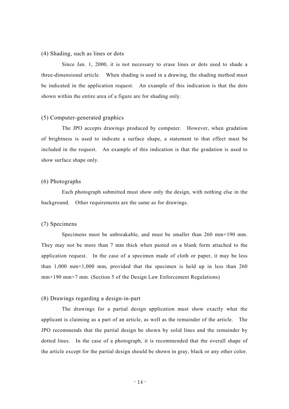#### (4) Shading, such as lines or dots

Since Jan. 1, 2000, it is not necessary to erase lines or dots used to shade a three-dimensional article. When shading is used in a drawing, the shading method must be indicated in the application request. An example of this indication is that the dots shown within the entire area of a figure are for shading only.

#### (5) Computer-generated graphics

The JPO accepts drawings produced by computer. However, when gradation of brightness is used to indicate a surface shape, a statement to that effect must be included in the request. An example of this indication is that the gradation is used to show surface shape only.

#### (6) Photographs

Each photograph submitted must show only the design, with nothing else in the background. Other requirements are the same as for drawings.

#### (7) Specimens

Specimens must be unbreakable, and must be smaller than 260 mm×190 mm. They may not be more than 7 mm thick when pasted on a blank form attached to the application request. In the case of a specimen made of cloth or paper, it may be less than  $1,000 \text{ mm} \times 1,000 \text{ mm}$ , provided that the specimen is held up in less than 260 mm×190 mm×7 mm. (Section 5 of the Design Law Enforcement Regulations)

#### (8) Drawings regarding a design-in-part

The drawings for a partial design application must show exactly what the applicant is claiming as a part of an article, as well as the remainder of the article. The JPO recommends that the partial design be shown by solid lines and the remainder by dotted lines. In the case of a photograph, it is recommended that the overall shape of the article except for the partial design should be shown in gray, black or any other color.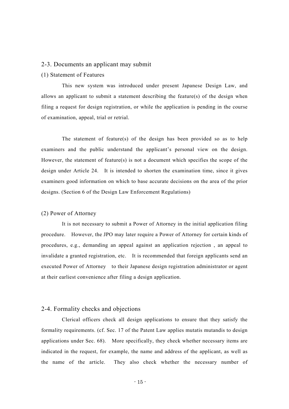#### 2-3. Documents an applicant may submit

#### (1) Statement of Features

This new system was introduced under present Japanese Design Law, and allows an applicant to submit a statement describing the feature(s) of the design when filing a request for design registration, or while the application is pending in the course of examination, appeal, trial or retrial.

The statement of feature(s) of the design has been provided so as to help examiners and the public understand the applicant's personal view on the design. However, the statement of feature(s) is not a document which specifies the scope of the design under Article 24. It is intended to shorten the examination time, since it gives examiners good information on which to base accurate decisions on the area of the prior designs. (Section 6 of the Design Law Enforcement Regulations)

#### (2) Power of Attorney

It is not necessary to submit a Power of Attorney in the initial application filing procedure. However, the JPO may later require a Power of Attorney for certain kinds of procedures, e.g., demanding an appeal against an application rejection , an appeal to invalidate a granted registration, etc. It is recommended that foreign applicants send an executed Power of Attorney to their Japanese design registration administrator or agent at their earliest convenience after filing a design application.

#### 2-4. Formality checks and objections

Clerical officers check all design applications to ensure that they satisfy the formality requirements. (cf. Sec. 17 of the Patent Law applies mutatis mutandis to design applications under Sec. 68). More specifically, they check whether necessary items are indicated in the request, for example, the name and address of the applicant, as well as the name of the article. They also check whether the necessary number of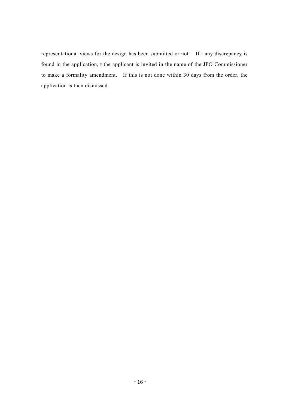representational views for the design has been submitted or not. If t any discrepancy is found in the application, t the applicant is invited in the name of the JPO Commissioner to make a formality amendment. If this is not done within 30 days from the order, the application is then dismissed.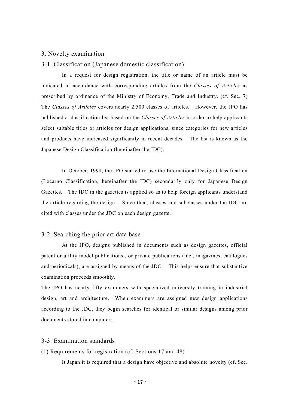#### 3. Novelty examination

#### 3-1. Classification (Japanese domestic classification)

In a request for design registration, the title or name of an article must be indicated in accordance with corresponding articles from the *Classes of Articles* as prescribed by ordinance of the Ministry of Economy, Trade and Industry. (cf. Sec. 7) The *Classes of Articles* covers nearly 2,500 classes of articles. However, the JPO has published a classification list based on the *Classes of Articles* in order to help applicants select suitable titles or articles for design applications, since categories for new articles and products have increased significantly in recent decades. The list is known as the Japanese Design Classification (hereinafter the JDC).

In October, 1998, the JPO started to use the International Design Classification (Locarno Classification, hereinafter the IDC) secondarily only for Japanese Design Gazettes. The IDC in the gazettes is applied so as to help foreign applicants understand the article regarding the design. Since then, classes and subclasses under the IDC are cited with classes under the JDC on each design gazette.

#### 3-2. Searching the prior art data base

At the JPO, designs published in documents such as design gazettes, official patent or utility model publications , or private publications (incl. magazines, catalogues and periodicals), are assigned by means of the JDC. This helps ensure that substantive examination proceeds smoothly.

The JPO has nearly fifty examiners with specialized university training in industrial design, art and architecture. When examiners are assigned new design applications according to the JDC, they begin searches for identical or similar designs among prior documents stored in computers.

#### 3-3. Examination standards

#### (1) Requirements for registration (cf. Sections 17 and 48)

It Japan it is required that a design have objective and absolute novelty (cf. Sec.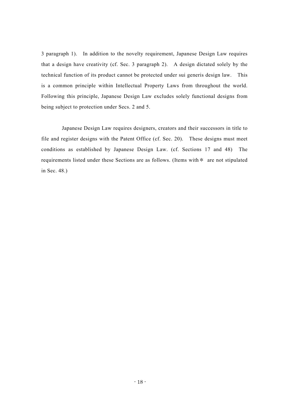3 paragraph 1). In addition to the novelty requirement, Japanese Design Law requires that a design have creativity (cf. Sec. 3 paragraph 2). A design dictated solely by the technical function of its product cannot be protected under sui generis design law. This is a common principle within Intellectual Property Laws from throughout the world. Following this principle, Japanese Design Law excludes solely functional designs from being subject to protection under Secs. 2 and 5.

Japanese Design Law requires designers, creators and their successors in title to file and register designs with the Patent Office (cf. Sec. 20). These designs must meet conditions as established by Japanese Design Law. (cf. Sections 17 and 48) The requirements listed under these Sections are as follows. (Items with\* are not stipulated in Sec. 48.)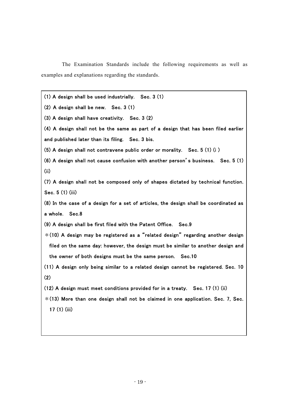The Examination Standards include the following requirements as well as examples and explanations regarding the standards.

(1) A design shall be used industrially. Sec. 3 (1)

(2) A design shall be new. Sec. 3 (1)

(3) A design shall have creativity. Sec. 3 (2)

(4) A design shall not be the same as part of a design that has been filed earlier and published later than its filing. Sec. 3 bis.

(5) A design shall not contravene public order or morality. Sec. 5 (1) (i )

(6) A design shall not cause confusion with another person's business. Sec. 5 (1) (ii)

(7) A design shall not be composed only of shapes dictated by technical function. Sec. 5 (1) (iii)

(8) In the case of a design for a set of articles, the design shall be coordinated as a whole. Sec.8

(9) A design shall be first filed with the Patent Office. Sec.9

- $*(10)$  A design may be registered as a "related design" regarding another design filed on the same day: however, the design must be similar to another design and the owner of both designs must be the same person. Sec.10
- (11) A design only being similar to a related design cannot be registered. Sec. 10 (2)
- (12) A design must meet conditions provided for in a treaty. Sec. 17 (1) (ii)
- $*(13)$  More than one design shall not be claimed in one application. Sec. 7, Sec. 17 (1) (iii)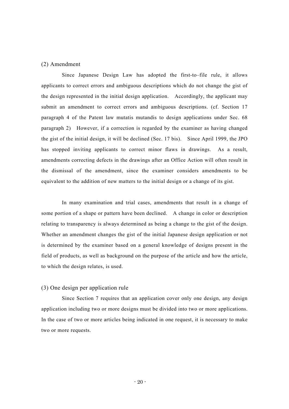#### (2) Amendment

Since Japanese Design Law has adopted the first-to–file rule, it allows applicants to correct errors and ambiguous descriptions which do not change the gist of the design represented in the initial design application. Accordingly, the applicant may submit an amendment to correct errors and ambiguous descriptions. (cf. Section 17 paragraph 4 of the Patent law mutatis mutandis to design applications under Sec. 68 paragraph 2) However, if a correction is regarded by the examiner as having changed the gist of the initial design, it will be declined (Sec. 17 bis). Since April 1999, the JPO has stopped inviting applicants to correct minor flaws in drawings. As a result, amendments correcting defects in the drawings after an Office Action will often result in the dismissal of the amendment, since the examiner considers amendments to be equivalent to the addition of new matters to the initial design or a change of its gist.

In many examination and trial cases, amendments that result in a change of some portion of a shape or pattern have been declined. A change in color or description relating to transparency is always determined as being a change to the gist of the design. Whether an amendment changes the gist of the initial Japanese design application or not is determined by the examiner based on a general knowledge of designs present in the field of products, as well as background on the purpose of the article and how the article, to which the design relates, is used.

#### (3) One design per application rule

Since Section 7 requires that an application cover only one design, any design application including two or more designs must be divided into two or more applications. In the case of two or more articles being indicated in one request, it is necessary to make two or more requests.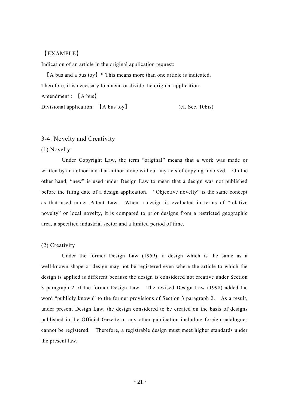#### 【EXAMPLE】

Indication of an article in the original application request:

【A bus and a bus toy】\* This means more than one article is indicated. Therefore, it is necessary to amend or divide the original application.

Amendment : 【A bus】

Divisional application: 【A bus toy】 (cf. Sec. 10bis)

#### 3-4. Novelty and Creativity

#### (1) Novelty

Under Copyright Law, the term "original" means that a work was made or written by an author and that author alone without any acts of copying involved. On the other hand, "new" is used under Design Law to mean that a design was not published before the filing date of a design application. "Objective novelty" is the same concept as that used under Patent Law. When a design is evaluated in terms of "relative novelty" or local novelty, it is compared to prior designs from a restricted geographic area, a specified industrial sector and a limited period of time.

#### (2) Creativity

Under the former Design Law (1959), a design which is the same as a well-known shape or design may not be registered even where the article to which the design is applied is different because the design is considered not creative under Section 3 paragraph 2 of the former Design Law. The revised Design Law (1998) added the word "publicly known" to the former provisions of Section 3 paragraph 2. As a result, under present Design Law, the design considered to be created on the basis of designs published in the Official Gazette or any other publication including foreign catalogues cannot be registered. Therefore, a registrable design must meet higher standards under the present law.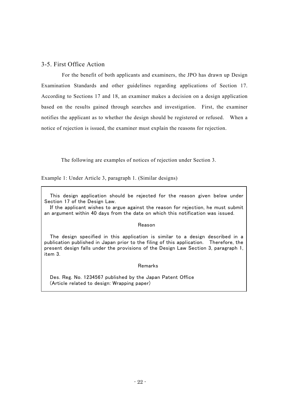#### 3-5. First Office Action

For the benefit of both applicants and examiners, the JPO has drawn up Design Examination Standards and other guidelines regarding applications of Section 17. According to Sections 17 and 18, an examiner makes a decision on a design application based on the results gained through searches and investigation. First, the examiner notifies the applicant as to whether the design should be registered or refused. When a notice of rejection is issued, the examiner must explain the reasons for rejection.

The following are examples of notices of rejection under Section 3.

Example 1: Under Article 3, paragraph 1. (Similar designs)

This design application should be rejected for the reason given below under Section 17 of the Design Law.

 If the applicant wishes to argue against the reason for rejection, he must submit an argument within 40 days from the date on which this notification was issued.

#### Reason

 The design specified in this application is similar to a design described in a publication published in Japan prior to the filing of this application. Therefore, the present design falls under the provisions of the Design Law Section 3, paragraph 1, item 3.

#### Remarks

Des. Reg. No. 1234567 published by the Japan Patent Office (Article related to design: Wrapping paper)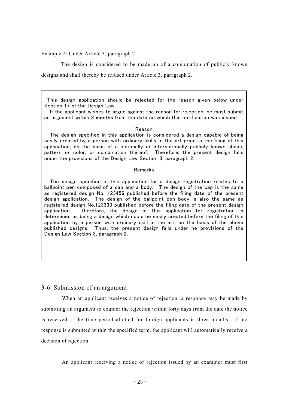Example 2: Under Article 3, paragraph 2.

The design is considered to be made up of a combination of publicly known designs and shall thereby be refused under Article 3, paragraph 2.

 This design application should be rejected for the reason given below under Section 17 of the Design Law.

 If the applicant wishes to argue against the reason for rejection, he must submit an argument within 3 months from the date on which this notification was issued.

#### Reason

 The design specified in this application is considered a design capable of being easily created by a person with ordinary skills in the art prior to the filing of this application, on the basis of a nationally or internationally publicly known shape, pattern or color, or combination thereof. Therefore, the present design falls under the provisions of the Design Law Section 3, paragraph 2.

#### Remarks

 The design specified in this application for a design registration relates to a ballpoint pen composed of a cap and a body. The design of the cap is the same as registered design No. 123456 published before the filing date of the present design application. The design of the ballpoint pen body is also the same as registered design No.123333 published before the filing date of the present design application. Therefore, the design of this application for registration is determined as being a design which could be easily created before the filing of this application by a person with ordinary skill in the art, on the basis of the above published designs. Thus, the present design falls under he provisions of the Design Law Section 3, paragraph 2.

#### 3-6. Submission of an argument

When an applicant receives a notice of rejection, a response may be made by submitting an argument to counter the rejection within forty days from the date the notice is received. The time period allotted for foreign applicants is three months. If no response is submitted within the specified term, the applicant will automatically receive a decision of rejection.

An applicant receiving a notice of rejection issued by an examiner must first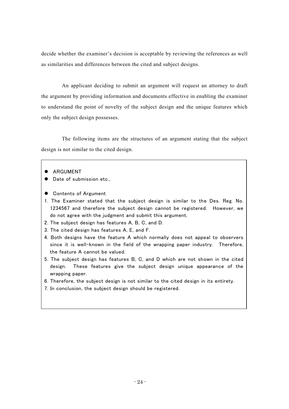decide whether the examiner's decision is acceptable by reviewing the references as well as similarities and differences between the cited and subject designs.

An applicant deciding to submit an argument will request an attorney to draft the argument by providing information and documents effective in enabling the examiner to understand the point of novelty of the subject design and the unique features which only the subject design possesses.

The following items are the structures of an argument stating that the subject design is not similar to the cited design.

- **•** ARGUMENT
- Date of submission etc.,
- **•** Contents of Argument
- 1. The Examiner stated that the subject design is similar to the Des. Reg. No. 1234567 and therefore the subject design cannot be registered. However, we do not agree with the judgment and submit this argument.
- 2. The subject design has features A, B, C, and D.
- 3. The cited design has features A, E, and F.
- 4. Both designs have the feature A which normally does not appeal to observers since it is well-known in the field of the wrapping paper industry. Therefore, the feature A cannot be valued.
- 5. The subject design has features B, C, and D which are not shown in the cited design. These features give the subject design unique appearance of the wrapping paper.
- 6. Therefore, the subject design is not similar to the cited design in its entirety.
- 7. In conclusion, the subject design should be registered.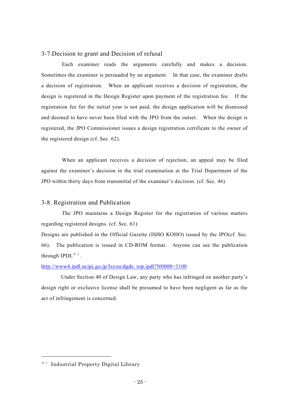#### 3-7.Decision to grant and Decision of refusal

Each examiner reads the arguments carefully and makes a decision. Sometimes the examiner is persuaded by an argument. In that case, the examiner drafts a decision of registration. When an applicant receives a decision of registration, the design is registered in the Design Register upon payment of the registration fee. If the registration fee for the initial year is not paid, the design application will be dismissed and deemed to have never been filed with the JPO from the outset. When the design is registered, the JPO Commissioner issues a design registration certificate to the owner of the registered design (cf. Sec. 62).

When an applicant receives a decision of rejection, an appeal may be filed against the examiner's decision in the trial examination at the Trial Department of the JPO within thirty days from transmittal of the examiner's decision. (cf. Sec. 46)

#### 3-8. Registration and Publication

The JPO maintains a Design Register for the registration of various matters regarding registered designs. (cf. Sec. 61)

Designs are published in the Official Gazette (ISHO KOHO) issued by the JPO(cf. Sec. 66). The publication is issued in CD-ROM format. Anyone can see the publication through  $IPDL^*$ <sup>1</sup>.

[http://www4.ipdl.ncipi.go.jp/Isyou/dgde\\_top.ipdl?N0000=3100](http://www4.ipdl.ncipi.go.jp/Isyou/dgde_top.ipdl?N0000=3100)

Under Section 40 of Design Law, any party who has infringed on another party's design right or exclusive license shall be presumed to have been negligent as far as the act of infringement is concerned.

-

<sup>\*1</sup> Industrial Property Digital Library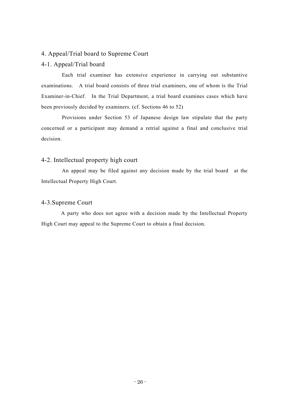#### 4. Appeal/Trial board to Supreme Court

#### 4-1. Appeal/Trial board

Each trial examiner has extensive experience in carrying out substantive examinations. A trial board consists of three trial examiners, one of whom is the Trial Examiner-in-Chief. In the Trial Department, a trial board examines cases which have been previously decided by examiners. (cf. Sections 46 to 52)

Provisions under Section 53 of Japanese design law stipulate that the party concerned or a participant may demand a retrial against a final and conclusive trial decision.

#### 4-2. Intellectual property high court

An appeal may be filed against any decision made by the trial board at the Intellectual Property High Court.

#### 4-3.Supreme Court

A party who does not agree with a decision made by the Intellectual Property High Court may appeal to the Supreme Court to obtain a final decision.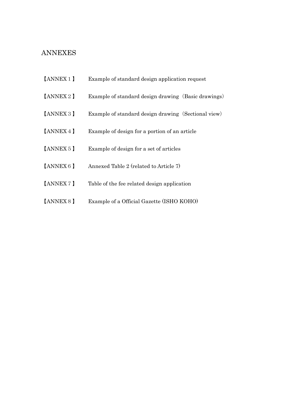## ANNEXES

- 【ANNEX1】 Example of standard design application request
- [ANNEX 2 ] Example of standard design drawing (Basic drawings)
- 【ANNEX3】 Example of standard design drawing(Sectional view)
- 【ANNEX4】 Example of design for a portion of an article
- 【ANNEX5】 Example of design for a set of articles
- 【ANNEX6】 Annexed Table 2 (related to Article 7)
- 【ANNEX7】 Table of the fee related design application
- 【ANNEX8】 Example of a Official Gazette (ISHO KOHO)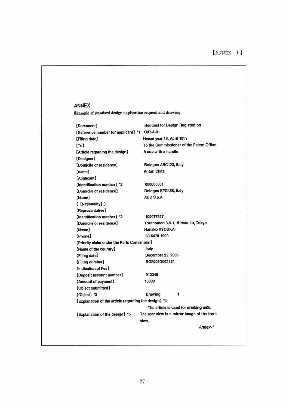# $[ANNEX-1]$

#### **ANNEX**

Example of standard design application request and drawing

| [Document]                                           | <b>Request for Design Registration</b>       |
|------------------------------------------------------|----------------------------------------------|
| [Reference number for applicant] *1                  | O/R-A-01                                     |
| [Filing date]                                        | Heisei year 18, April 18th                   |
| [To]                                                 | To the Commissioner of the Patent Office     |
| [Article regarding the design]                       | A cup with a handle                          |
| [Designer]                                           |                                              |
| [Domicile or residence]                              | Bologna ABC123, Italy                        |
| (name)                                               | <b>Anton Chita</b>                           |
| [Applicant]                                          |                                              |
| [Identification number] *2                           | 000000001                                    |
| [Domicile or residence]                              | Bologna EFG456, Italy                        |
| (Name)                                               | ABC S.p.A                                    |
| ([Nationality])                                      |                                              |
| [Representative]                                     |                                              |
| [Identification number] *2                           | 100077517                                    |
| (Domicile or residence)                              | Toranomon 3-5-1, Minato-ku, Tokyo            |
| [Name]                                               | Hanako KYOUKAI                               |
| [Phone]                                              | 03-5470-1900                                 |
| [Priority claim under the Parls Convention]          |                                              |
| [Name of the country]                                | Italy                                        |
| [Filing date]                                        | December 25, 2005                            |
| (Filing number)                                      | BO2005O003124                                |
| <b>Indication of Fee]</b>                            |                                              |
| [Deposit account number]                             | 012345                                       |
| [Amount of payment]                                  | 16000                                        |
| [Object submitted]                                   |                                              |
| [Object] *3                                          | Drawing<br>1                                 |
| [Explanation of the article regarding the design] *4 |                                              |
|                                                      | The article is used for drinking milk.       |
| [Explanation of the design] *5                       | The rear view is a mirror image of the front |
|                                                      | view.                                        |
|                                                      | Annex-1                                      |
|                                                      |                                              |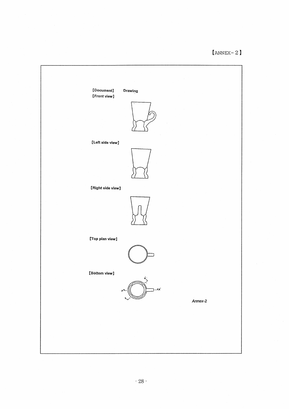# $[ANNEX-2]$

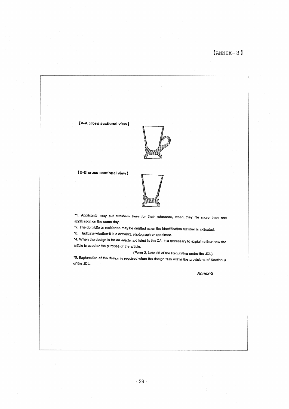[A-A cross sectional view]



(B-B cross sectional view)



\*1. Applicants may put numbers here for their reference, when they file more than one application on the same day.

\*2. The domicile or residence may be omitted when the identification number is indicated.

\*3. Indicate whether it is a drawing, photograph or specimen.

\*4. When the design is for an article not listed in the CA, it is necessary to explain either how the article is used or the purpose of the article.

(Form 2, Note 25 of the Regulation under the JDL)

\*5. Explanation of the design is required when the design falls within the provisions of Section 6 of the JDL.

Annex-3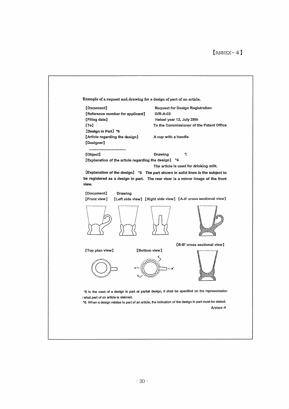| Example of a request and drawing for a design of part of an article.                                                                                                                                                                                            |
|-----------------------------------------------------------------------------------------------------------------------------------------------------------------------------------------------------------------------------------------------------------------|
|                                                                                                                                                                                                                                                                 |
|                                                                                                                                                                                                                                                                 |
|                                                                                                                                                                                                                                                                 |
| [Document]<br><b>Request for Design Registration</b><br>[Reference number for applicant]<br>O/R-A-02<br>[Filing date]<br>Heisei year 12, July 28th<br>[To]<br>To the Commissioner of the Patent Office<br>[Design in Part] *6<br>[Article regarding the design] |
| A cup with a handle<br>[Designer]                                                                                                                                                                                                                               |
| 1<br>[Object]<br>Drawing<br>[Explanation of the article regarding the design]<br>*4<br>The article is used for drinking milk.                                                                                                                                   |
| [Explanation of the design] *5 The part shown in solid lines is the subject to<br>be registered as a design in part. The rear view is a mirror image of the front<br>view.                                                                                      |
| [Document]<br>Drawing<br>[Left side view] [Right side view] [A-A' cross sectional view]<br>[Front view]                                                                                                                                                         |
|                                                                                                                                                                                                                                                                 |
| [B-B' cross sectional view]                                                                                                                                                                                                                                     |
| [Bottom view]<br>[Top plan view]                                                                                                                                                                                                                                |
| "5 In the case of a design in part or partial design, it shall be specified on the representation<br>what part of an article is claimed.<br>*6. When a design relates to part of an article, the indication of the design in part must be stated.               |
| Annex-4                                                                                                                                                                                                                                                         |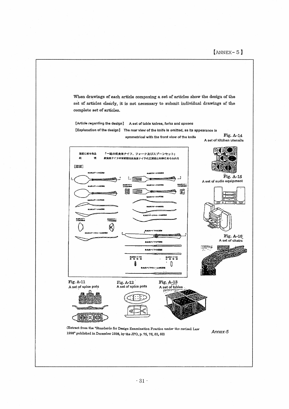Fig. A-14

When drawings of each article composing a set of articles show the design of the set of articles clearly, it is not necessary to submit individual drawings of the complete set of articles.

[Article regarding the design] A set of table knives, forks and spoons [Explanation of the design] The rear view of the knife is omitted, as its appearance is

symmetrical with the front view of the knife

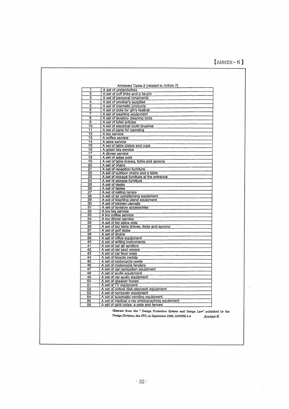## $[$ ANNEX-6]

| 1               | Annexed Table 2 (related to Article 7)<br>A set of underclothes |
|-----------------|-----------------------------------------------------------------|
| $\overline{2}$  | A set of cuff links and a tie-pin                               |
| з               | A set of personal ornaments                                     |
| 4               | A set of smoker's supplies                                      |
| 5               | A set of cosmetic products                                      |
| 6               | A set of dolls for girl's festival                              |
| 7               | A set of washing equipment                                      |
| 8               | A set of lavatory cleaning tools                                |
| g               | A set of toilet articles                                        |
| 10              | A set of electrical tooth brushes                               |
| 11              | A set of pans for camping                                       |
| 12              | A tea service                                                   |
| $\overline{13}$ | A coffee service                                                |
| 14              | A sake service                                                  |
| 15              | A set of table plates and cups                                  |
| 16              | A green tea service                                             |
| 17              | A dinner service                                                |
| 18              | A set of spice pots                                             |
| 19              | A set of table knives, forks and spoons                         |
| 20              | A set of chairs                                                 |
| 21              | A set of reception furniture                                    |
| 22              | A set of cutdoor chairs and a table                             |
| 23              | A set of storage furniture at the entrance                      |
| 24              | A set of storage furniture                                      |
| 25              | A set of desks                                                  |
| 26              | A set of tables                                                 |
| 27              | A set of ceiling lamps                                          |
| 28              | A set of air conditioning equipment                             |
| 29<br>30        | A set of washing stand equipment                                |
| $\overline{31}$ | A set of kitchen utensils<br>A set of lavatory accessories      |
| 32              | A toy tea service                                               |
| 33              | A toy coffee service                                            |
| 34              | A toy dinner service                                            |
| 35              | A set of toy spice pots                                         |
| 36              | A set of toy table knives, forks and spoons                     |
| 37              | A set of golf clubs                                             |
| 38              | A set of drums                                                  |
| 39              | A set of office equipment                                       |
| 40              | A set of writing instruments                                    |
| 41              | A set of car air spoilers                                       |
| 42              | A set of car seat covers                                        |
| 43              | A set of car floor mats                                         |
| 44              | A set of bicycle pedals                                         |
| 45              | A set of motorcycle cowls                                       |
| 46              | A set of motorcycle fenders                                     |
| 47              | A set of car navigation equipment                               |
| 48              | A set of audio equipment                                        |
| 49              | A set of car audio equipment                                    |
| 50              | A set of speaker boxes                                          |
| 51              | A set of TV equipment                                           |
| 52              | A set of optical disk playback equipment                        |
| 53              | A set of computer equipment                                     |
| 54              | A set of automatic vending equioment                            |
| 55              | A set of medical x-ray photographing equipment                  |

(Extract from the " Design Protection System and Design Law" published by the Design Division, the JPO, in September 1999, ANNEX 3-4 Annex-6